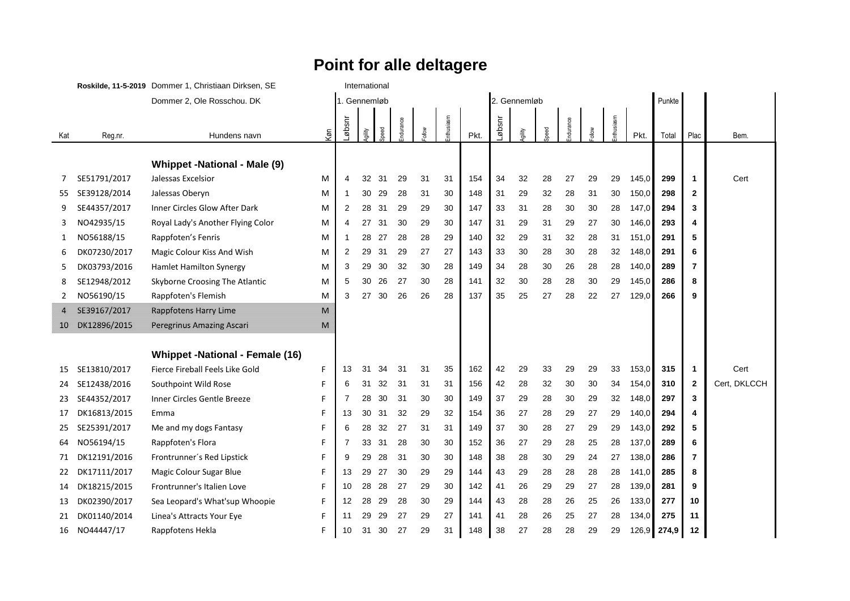## **Point for alle deltagere**

|     | Roskilde, 11-5-2019 Dommer 1, Christiaan Dirksen, SE<br>International |                                        |                         |                |        |      |          |              |          |      |        |        |      |         |       |            |       |       |              |              |
|-----|-----------------------------------------------------------------------|----------------------------------------|-------------------------|----------------|--------|------|----------|--------------|----------|------|--------|--------|------|---------|-------|------------|-------|-------|--------------|--------------|
|     |                                                                       | Dommer 2, Ole Rosschou. DK             |                         | 1. Gennemløb   |        |      |          | 2. Gennemløb |          |      |        |        |      |         |       |            |       |       |              |              |
| Kat | Reg.nr.                                                               | Hundens navn                           | Køn                     | <b>Løbsnr</b>  | gility | peed | ndurance |              | thusiasm | Pkt. | rusqøT | gility | peed | durance | allow | inthusiasm | Pkt.  | Total | Plac         | Bem.         |
|     |                                                                       |                                        |                         |                |        |      |          |              |          |      |        |        |      |         |       |            |       |       |              |              |
|     |                                                                       | <b>Whippet -National - Male (9)</b>    |                         |                |        |      |          |              |          |      |        |        |      |         |       |            |       |       |              |              |
| 7   | SE51791/2017                                                          | Jalessas Excelsior                     | м                       | $\overline{4}$ | 32     | 31   | 29       | 31           | 31       | 154  | 34     | 32     | 28   | 27      | 29    | 29         | 145,0 | 299   | $\mathbf 1$  | Cert         |
| 55  | SE39128/2014                                                          | Jalessas Obervn                        | M                       | -1             | 30     | 29   | 28       | 31           | 30       | 148  | 31     | 29     | 32   | 28      | 31    | 30         | 150,0 | 298   | $\mathbf{2}$ |              |
| 9   | SE44357/2017                                                          | Inner Circles Glow After Dark          | M                       | $\overline{2}$ | 28     | 31   | 29       | 29           | 30       | 147  | 33     | 31     | 28   | 30      | 30    | 28         | 147,0 | 294   | 3            |              |
| 3   | NO42935/15                                                            | Royal Lady's Another Flying Color      | M                       | 4              | 27     | 31   | 30       | 29           | 30       | 147  | 31     | 29     | 31   | 29      | 27    | 30         | 146,0 | 293   | 4            |              |
| 1   | NO56188/15                                                            | Rappfoten's Fenris                     | M                       | -1             | 28     | 27   | 28       | 28           | 29       | 140  | 32     | 29     | 31   | 32      | 28    | 31         | 151,0 | 291   | 5            |              |
| 6   | DK07230/2017                                                          | Magic Colour Kiss And Wish             | M                       | $\overline{2}$ | 29     | 31   | 29       | 27           | 27       | 143  | 33     | 30     | 28   | 30      | 28    | 32         | 148,0 | 291   | 6            |              |
| 5   | DK03793/2016                                                          | <b>Hamlet Hamilton Synergy</b>         | M                       | 3              | 29     | 30   | 32       | 30           | 28       | 149  | 34     | 28     | 30   | 26      | 28    | 28         | 140,0 | 289   | 7            |              |
| 8   | SE12948/2012                                                          | Skyborne Croosing The Atlantic         | M                       | 5              | 30     | 26   | 27       | 30           | 28       | 141  | 32     | 30     | 28   | 28      | 30    | 29         | 145,0 | 286   | 8            |              |
| 2   | NO56190/15                                                            | Rappfoten's Flemish                    | M                       | 3              | 27     | 30   | 26       | 26           | 28       | 137  | 35     | 25     | 27   | 28      | 22    | 27         | 129,0 | 266   | 9            |              |
| 4   | SE39167/2017                                                          | <b>Rappfotens Harry Lime</b>           | М                       |                |        |      |          |              |          |      |        |        |      |         |       |            |       |       |              |              |
|     | 10 DK12896/2015                                                       | Peregrinus Amazing Ascari              | $\overline{\mathsf{M}}$ |                |        |      |          |              |          |      |        |        |      |         |       |            |       |       |              |              |
|     |                                                                       |                                        |                         |                |        |      |          |              |          |      |        |        |      |         |       |            |       |       |              |              |
|     |                                                                       | <b>Whippet -National - Female (16)</b> |                         |                |        |      |          |              |          |      |        |        |      |         |       |            |       |       |              |              |
| 15  | SE13810/2017                                                          | Fierce Fireball Feels Like Gold        | F                       | 13             | 31     | 34   | 31       | 31           | 35       | 162  | 42     | 29     | 33   | 29      | 29    | 33         | 153,0 | 315   | 1            | Cert         |
| 24  | SE12438/2016                                                          | Southpoint Wild Rose                   | F                       | 6              | 31     | 32   | 31       | 31           | 31       | 156  | 42     | 28     | 32   | 30      | 30    | 34         | 154,0 | 310   | $\mathbf{2}$ | Cert, DKLCCH |
| 23  | SE44352/2017                                                          | Inner Circles Gentle Breeze            | F                       | 7              | 28     | 30   | 31       | 30           | 30       | 149  | 37     | 29     | 28   | 30      | 29    | 32         | 148,0 | 297   | 3            |              |
| 17  | DK16813/2015                                                          | Emma                                   | F                       | 13             | 30     | -31  | 32       | 29           | 32       | 154  | 36     | 27     | 28   | 29      | 27    | 29         | 140,0 | 294   | 4            |              |
| 25  | SE25391/2017                                                          | Me and my dogs Fantasy                 | F                       | 6              | 28     | 32   | 27       | 31           | 31       | 149  | 37     | 30     | 28   | 27      | 29    | 29         | 143,0 | 292   | 5            |              |
| 64  | NO56194/15                                                            | Rappfoten's Flora                      | F.                      | -7             | 33     | 31   | 28       | 30           | 30       | 152  | 36     | 27     | 29   | 28      | 25    | 28         | 137,0 | 289   | 6            |              |
| 71  | DK12191/2016                                                          | Frontrunner's Red Lipstick             | F                       | 9              | 29     | 28   | 31       | 30           | 30       | 148  | 38     | 28     | 30   | 29      | 24    | 27         | 138,0 | 286   | 7            |              |
| 22  | DK17111/2017                                                          | Magic Colour Sugar Blue                | F                       | 13             | 29     | 27   | 30       | 29           | 29       | 144  | 43     | 29     | 28   | 28      | 28    | 28         | 141,0 | 285   | 8            |              |
| 14  | DK18215/2015                                                          | Frontrunner's Italien Love             | F                       | 10             | 28     | 28   | 27       | 29           | 30       | 142  | 41     | 26     | 29   | 29      | 27    | 28         | 139,0 | 281   | 9            |              |
| 13  | DK02390/2017                                                          | Sea Leopard's What'sup Whoopie         | F                       | 12             | 28     | 29   | 28       | 30           | 29       | 144  | 43     | 28     | 28   | 26      | 25    | 26         | 133,0 | 277   | 10           |              |
| 21  | DK01140/2014                                                          | Linea's Attracts Your Eye              | F                       |                | 29     | 29   | 27       | 29           | 27       | 141  | 41     | 28     | 26   | 25      | 27    | 28         | 134,0 | 275   | 11           |              |
| 16  | NO44447/17                                                            | Rappfotens Hekla                       | F                       | 10             | 31     | 30   | 27       | 29           | 31       | 148  | 38     | 27     | 28   | 28      | 29    | 29         | 126,9 | 274,9 | 12           |              |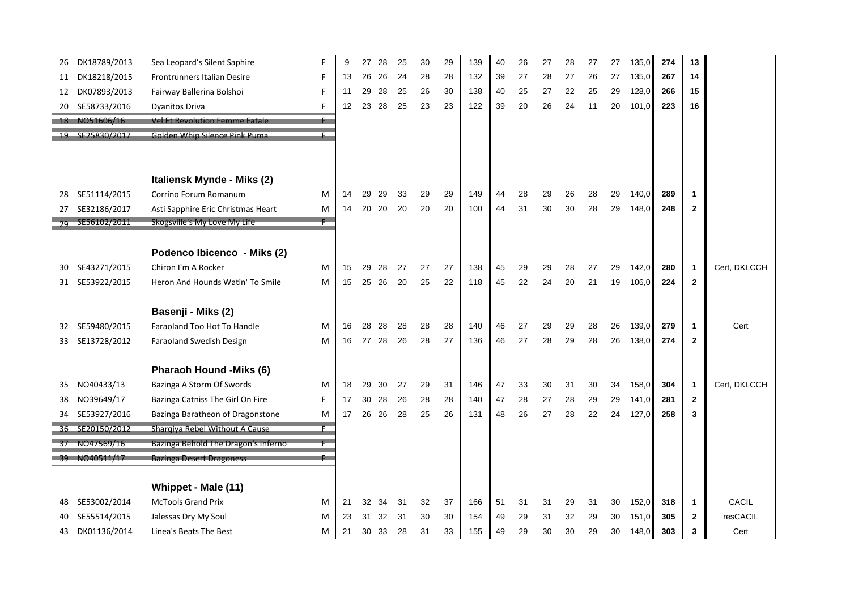| 26 | DK18789/2013    | Sea Leopard's Silent Saphire        | F  |    | 27 | 28 | 25 | 30 | 29 | 139 | 40 | 26 | 27 | 28 | 27 | 27 | 135,0 | 274 | 13             |              |
|----|-----------------|-------------------------------------|----|----|----|----|----|----|----|-----|----|----|----|----|----|----|-------|-----|----------------|--------------|
| 11 | DK18218/2015    | <b>Frontrunners Italian Desire</b>  | F. | 13 | 26 | 26 | 24 | 28 | 28 | 132 | 39 | 27 | 28 | 27 | 26 | 27 | 135,0 | 267 | 14             |              |
| 12 | DK07893/2013    | Fairway Ballerina Bolshoi           | F  | 11 | 29 | 28 | 25 | 26 | 30 | 138 | 40 | 25 | 27 | 22 | 25 | 29 | 128,0 | 266 | 15             |              |
| 20 | SE58733/2016    | Dyanitos Driva                      | F  | 12 | 23 | 28 | 25 | 23 | 23 | 122 | 39 | 20 | 26 | 24 | 11 | 20 | 101,0 | 223 | 16             |              |
|    | 18 NO51606/16   | Vel Et Revolution Femme Fatale      | Ē  |    |    |    |    |    |    |     |    |    |    |    |    |    |       |     |                |              |
|    | 19 SE25830/2017 | Golden Whip Silence Pink Puma       | Ē  |    |    |    |    |    |    |     |    |    |    |    |    |    |       |     |                |              |
|    |                 |                                     |    |    |    |    |    |    |    |     |    |    |    |    |    |    |       |     |                |              |
|    |                 |                                     |    |    |    |    |    |    |    |     |    |    |    |    |    |    |       |     |                |              |
|    |                 | Italiensk Mynde - Miks (2)          |    |    |    |    |    |    |    |     |    |    |    |    |    |    |       |     |                |              |
| 28 | SE51114/2015    | Corrino Forum Romanum               | М  | 14 | 29 | 29 | 33 | 29 | 29 | 149 | 44 | 28 | 29 | 26 | 28 | 29 | 140,0 | 289 | $\mathbf{1}$   |              |
| 27 | SE32186/2017    | Asti Sapphire Eric Christmas Heart  | М  | 14 | 20 | 20 | 20 | 20 | 20 | 100 | 44 | 31 | 30 | 30 | 28 | 29 | 148,0 | 248 | $\mathbf{2}$   |              |
|    | 29 SE56102/2011 | Skogsville's My Love My Life        | E  |    |    |    |    |    |    |     |    |    |    |    |    |    |       |     |                |              |
|    |                 |                                     |    |    |    |    |    |    |    |     |    |    |    |    |    |    |       |     |                |              |
|    |                 | Podenco Ibicenco - Miks (2)         |    |    |    |    |    |    |    |     |    |    |    |    |    |    |       |     |                |              |
| 30 | SE43271/2015    | Chiron I'm A Rocker                 | M  | 15 | 29 | 28 | 27 | 27 | 27 | 138 | 45 | 29 | 29 | 28 | 27 | 29 | 142,0 | 280 | $\overline{1}$ | Cert, DKLCCH |
| 31 | SE53922/2015    | Heron And Hounds Watin' To Smile    | M  | 15 | 25 | 26 | 20 | 25 | 22 | 118 | 45 | 22 | 24 | 20 | 21 | 19 | 106,0 | 224 | $\overline{2}$ |              |
|    |                 |                                     |    |    |    |    |    |    |    |     |    |    |    |    |    |    |       |     |                |              |
|    |                 | Basenji - Miks (2)                  |    |    |    |    |    |    |    |     |    |    |    |    |    |    |       |     |                |              |
| 32 | SE59480/2015    | Faraoland Too Hot To Handle         | М  | 16 | 28 | 28 | 28 | 28 | 28 | 140 | 46 | 27 | 29 | 29 | 28 | 26 | 139,0 | 279 | $\overline{1}$ | Cert         |
| 33 | SE13728/2012    | Faraoland Swedish Design            | M  | 16 | 27 | 28 | 26 | 28 | 27 | 136 | 46 | 27 | 28 | 29 | 28 | 26 | 138,0 | 274 | $\mathbf{2}$   |              |
|    |                 |                                     |    |    |    |    |    |    |    |     |    |    |    |    |    |    |       |     |                |              |
|    |                 | Pharaoh Hound -Miks (6)             |    |    |    |    |    |    |    |     |    |    |    |    |    |    |       |     |                |              |
| 35 | NO40433/13      | Bazinga A Storm Of Swords           | M  | 18 | 29 | 30 | 27 | 29 | 31 | 146 | 47 | 33 | 30 | 31 | 30 | 34 | 158,0 | 304 | $\overline{1}$ | Cert, DKLCCH |
| 38 | NO39649/17      | Bazinga Catniss The Girl On Fire    | F. | 17 | 30 | 28 | 26 | 28 | 28 | 140 | 47 | 28 | 27 | 28 | 29 | 29 | 141,0 | 281 | $\overline{2}$ |              |
| 34 | SE53927/2016    | Bazinga Baratheon of Dragonstone    | M  | 17 | 26 | 26 | 28 | 25 | 26 | 131 | 48 | 26 | 27 | 28 | 22 | 24 | 127,0 | 258 | 3              |              |
|    | 36 SE20150/2012 | Sharqiya Rebel Without A Cause      | Ē  |    |    |    |    |    |    |     |    |    |    |    |    |    |       |     |                |              |
|    | 37 NO47569/16   | Bazinga Behold The Dragon's Inferno | F  |    |    |    |    |    |    |     |    |    |    |    |    |    |       |     |                |              |
|    | 39 NO40511/17   | <b>Bazinga Desert Dragoness</b>     | F  |    |    |    |    |    |    |     |    |    |    |    |    |    |       |     |                |              |
|    |                 |                                     |    |    |    |    |    |    |    |     |    |    |    |    |    |    |       |     |                |              |
|    |                 | Whippet - Male (11)                 |    |    |    |    |    |    |    |     |    |    |    |    |    |    |       |     |                |              |
| 48 | SE53002/2014    | <b>McTools Grand Prix</b>           | м  | 21 | 32 | 34 | 31 | 32 | 37 | 166 | 51 | 31 | 31 | 29 | 31 | 30 | 152,0 | 318 | $\mathbf{1}$   | <b>CACIL</b> |
| 40 | SE55514/2015    | Jalessas Dry My Soul                | M  | 23 | 31 | 32 | 31 | 30 | 30 | 154 | 49 | 29 | 31 | 32 | 29 | 30 | 151,0 | 305 | $\mathbf{2}$   | resCACIL     |
| 43 | DK01136/2014    | Linea's Beats The Best              | M  | 21 | 30 | 33 | 28 | 31 | 33 | 155 | 49 | 29 | 30 | 30 | 29 | 30 | 148,0 | 303 | 3              | Cert         |